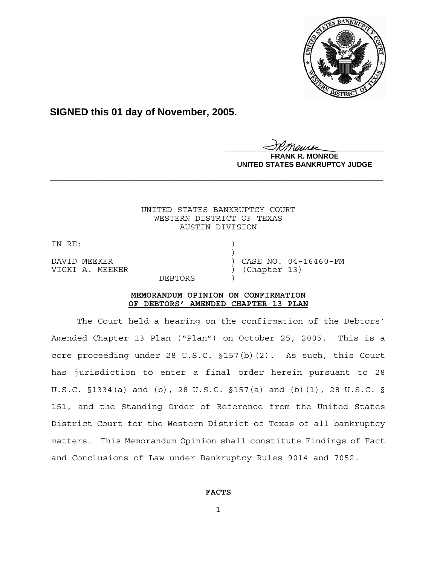

# **SIGNED this 01 day of November, 2005.**

**\_\_\_\_\_\_\_\_\_\_\_\_\_\_\_\_\_\_\_\_\_\_\_\_\_\_\_\_\_\_\_\_\_\_\_\_\_\_\_\_**

**R. MONROE UNITED STATES BANKRUPTCY JUDGE**

### UNITED STATES BANKRUPTCY COURT WESTERN DISTRICT OF TEXAS AUSTIN DIVISION

**\_\_\_\_\_\_\_\_\_\_\_\_\_\_\_\_\_\_\_\_\_\_\_\_\_\_\_\_\_\_\_\_\_\_\_\_\_\_\_\_\_\_\_\_\_\_\_\_\_\_\_\_\_\_\_\_\_\_\_\_**

IN RE:

 $)$ VICKI A. MEEKER (Chapter 13)

DAVID MEEKER (DAVID MEEKER ) CASE NO. 04-16460-FM

**DEBTORS** 

#### **MEMORANDUM OPINION ON CONFIRMATION OF DEBTORS' AMENDED CHAPTER 13 PLAN**

The Court held a hearing on the confirmation of the Debtors' Amended Chapter 13 Plan ("Plan") on October 25, 2005. This is a core proceeding under 28 U.S.C. §157(b)(2). As such, this Court has jurisdiction to enter a final order herein pursuant to 28 U.S.C. §1334(a) and (b), 28 U.S.C. §157(a) and (b)(1), 28 U.S.C. § 151, and the Standing Order of Reference from the United States District Court for the Western District of Texas of all bankruptcy matters. This Memorandum Opinion shall constitute Findings of Fact and Conclusions of Law under Bankruptcy Rules 9014 and 7052.

## **FACTS**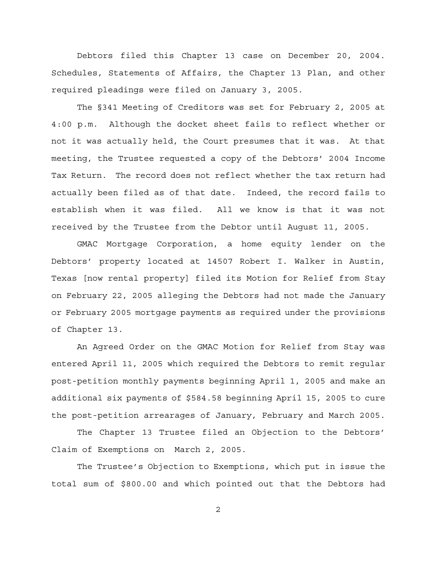Debtors filed this Chapter 13 case on December 20, 2004. Schedules, Statements of Affairs, the Chapter 13 Plan, and other required pleadings were filed on January 3, 2005.

The §341 Meeting of Creditors was set for February 2, 2005 at 4:00 p.m. Although the docket sheet fails to reflect whether or not it was actually held, the Court presumes that it was. At that meeting, the Trustee requested a copy of the Debtors' 2004 Income Tax Return. The record does not reflect whether the tax return had actually been filed as of that date. Indeed, the record fails to establish when it was filed. All we know is that it was not received by the Trustee from the Debtor until August 11, 2005.

GMAC Mortgage Corporation, a home equity lender on the Debtors' property located at 14507 Robert I. Walker in Austin, Texas [now rental property] filed its Motion for Relief from Stay on February 22, 2005 alleging the Debtors had not made the January or February 2005 mortgage payments as required under the provisions of Chapter 13.

An Agreed Order on the GMAC Motion for Relief from Stay was entered April 11, 2005 which required the Debtors to remit regular post-petition monthly payments beginning April 1, 2005 and make an additional six payments of \$584.58 beginning April 15, 2005 to cure the post-petition arrearages of January, February and March 2005.

The Chapter 13 Trustee filed an Objection to the Debtors' Claim of Exemptions on March 2, 2005.

The Trustee's Objection to Exemptions, which put in issue the total sum of \$800.00 and which pointed out that the Debtors had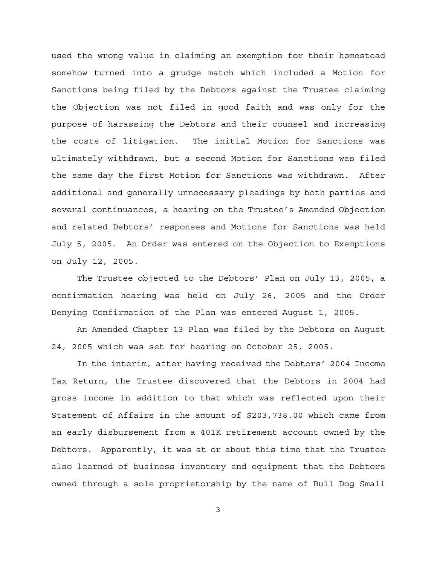used the wrong value in claiming an exemption for their homestead somehow turned into a grudge match which included a Motion for Sanctions being filed by the Debtors against the Trustee claiming the Objection was not filed in good faith and was only for the purpose of harassing the Debtors and their counsel and increasing the costs of litigation. The initial Motion for Sanctions was ultimately withdrawn, but a second Motion for Sanctions was filed the same day the first Motion for Sanctions was withdrawn. After additional and generally unnecessary pleadings by both parties and several continuances, a hearing on the Trustee's Amended Objection and related Debtors' responses and Motions for Sanctions was held July 5, 2005. An Order was entered on the Objection to Exemptions on July 12, 2005.

The Trustee objected to the Debtors' Plan on July 13, 2005, a confirmation hearing was held on July 26, 2005 and the Order Denying Confirmation of the Plan was entered August 1, 2005.

An Amended Chapter 13 Plan was filed by the Debtors on August 24, 2005 which was set for hearing on October 25, 2005.

In the interim, after having received the Debtors' 2004 Income Tax Return, the Trustee discovered that the Debtors in 2004 had gross income in addition to that which was reflected upon their Statement of Affairs in the amount of \$203,738.00 which came from an early disbursement from a 401K retirement account owned by the Debtors. Apparently, it was at or about this time that the Trustee also learned of business inventory and equipment that the Debtors owned through a sole proprietorship by the name of Bull Dog Small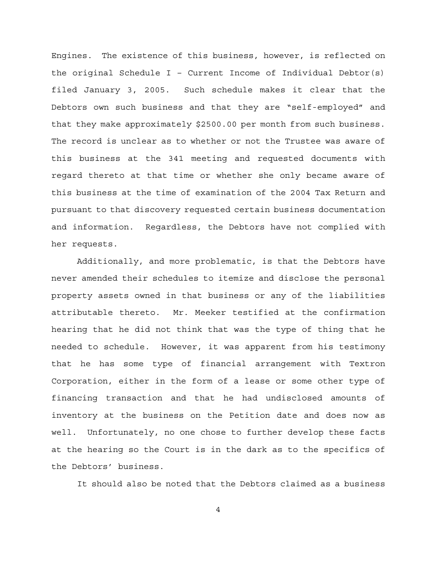Engines. The existence of this business, however, is reflected on the original Schedule I - Current Income of Individual Debtor(s) filed January 3, 2005. Such schedule makes it clear that the Debtors own such business and that they are "self-employed" and that they make approximately \$2500.00 per month from such business. The record is unclear as to whether or not the Trustee was aware of this business at the 341 meeting and requested documents with regard thereto at that time or whether she only became aware of this business at the time of examination of the 2004 Tax Return and pursuant to that discovery requested certain business documentation and information. Regardless, the Debtors have not complied with her requests.

Additionally, and more problematic, is that the Debtors have never amended their schedules to itemize and disclose the personal property assets owned in that business or any of the liabilities attributable thereto. Mr. Meeker testified at the confirmation hearing that he did not think that was the type of thing that he needed to schedule. However, it was apparent from his testimony that he has some type of financial arrangement with Textron Corporation, either in the form of a lease or some other type of financing transaction and that he had undisclosed amounts of inventory at the business on the Petition date and does now as well. Unfortunately, no one chose to further develop these facts at the hearing so the Court is in the dark as to the specifics of the Debtors' business.

It should also be noted that the Debtors claimed as a business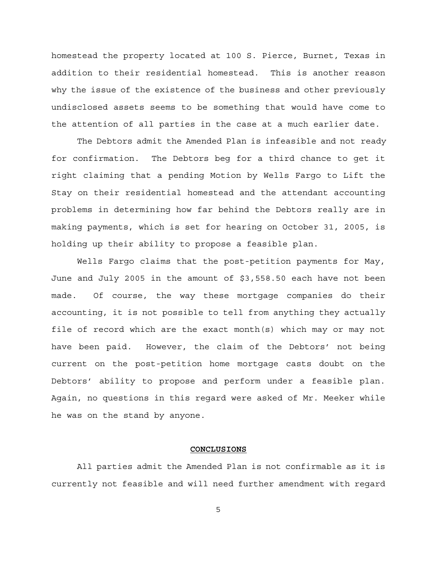homestead the property located at 100 S. Pierce, Burnet, Texas in addition to their residential homestead. This is another reason why the issue of the existence of the business and other previously undisclosed assets seems to be something that would have come to the attention of all parties in the case at a much earlier date.

 The Debtors admit the Amended Plan is infeasible and not ready for confirmation. The Debtors beg for a third chance to get it right claiming that a pending Motion by Wells Fargo to Lift the Stay on their residential homestead and the attendant accounting problems in determining how far behind the Debtors really are in making payments, which is set for hearing on October 31, 2005, is holding up their ability to propose a feasible plan.

Wells Fargo claims that the post-petition payments for May, June and July 2005 in the amount of \$3,558.50 each have not been made. Of course, the way these mortgage companies do their accounting, it is not possible to tell from anything they actually file of record which are the exact month(s) which may or may not have been paid. However, the claim of the Debtors' not being current on the post-petition home mortgage casts doubt on the Debtors' ability to propose and perform under a feasible plan. Again, no questions in this regard were asked of Mr. Meeker while he was on the stand by anyone.

#### **CONCLUSIONS**

All parties admit the Amended Plan is not confirmable as it is currently not feasible and will need further amendment with regard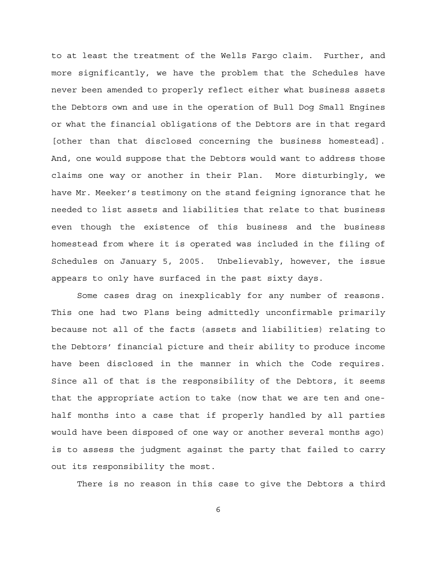to at least the treatment of the Wells Fargo claim. Further, and more significantly, we have the problem that the Schedules have never been amended to properly reflect either what business assets the Debtors own and use in the operation of Bull Dog Small Engines or what the financial obligations of the Debtors are in that regard [other than that disclosed concerning the business homestead]. And, one would suppose that the Debtors would want to address those claims one way or another in their Plan. More disturbingly, we have Mr. Meeker's testimony on the stand feigning ignorance that he needed to list assets and liabilities that relate to that business even though the existence of this business and the business homestead from where it is operated was included in the filing of Schedules on January 5, 2005. Unbelievably, however, the issue appears to only have surfaced in the past sixty days.

Some cases drag on inexplicably for any number of reasons. This one had two Plans being admittedly unconfirmable primarily because not all of the facts (assets and liabilities) relating to the Debtors' financial picture and their ability to produce income have been disclosed in the manner in which the Code requires. Since all of that is the responsibility of the Debtors, it seems that the appropriate action to take (now that we are ten and onehalf months into a case that if properly handled by all parties would have been disposed of one way or another several months ago) is to assess the judgment against the party that failed to carry out its responsibility the most.

There is no reason in this case to give the Debtors a third